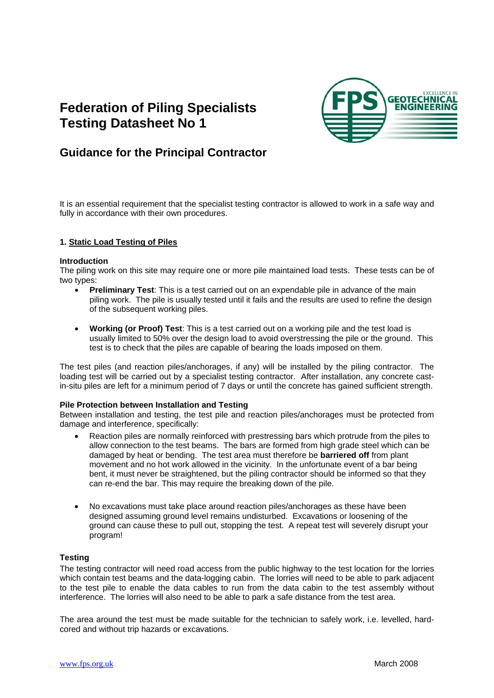# **Federation of Piling Specialists Testing Datasheet No 1**



## **Guidance for the Principal Contractor**

It is an essential requirement that the specialist testing contractor is allowed to work in a safe way and fully in accordance with their own procedures.

### **1. Static Load Testing of Piles**

#### **Introduction**

The piling work on this site may require one or more pile maintained load tests. These tests can be of two types:

- **Preliminary Test**: This is a test carried out on an expendable pile in advance of the main piling work. The pile is usually tested until it fails and the results are used to refine the design of the subsequent working piles.
- **Working (or Proof) Test**: This is a test carried out on a working pile and the test load is usually limited to 50% over the design load to avoid overstressing the pile or the ground. This test is to check that the piles are capable of bearing the loads imposed on them.

The test piles (and reaction piles/anchorages, if any) will be installed by the piling contractor. The loading test will be carried out by a specialist testing contractor. After installation, any concrete castin-situ piles are left for a minimum period of 7 days or until the concrete has gained sufficient strength.

#### **Pile Protection between Installation and Testing**

Between installation and testing, the test pile and reaction piles/anchorages must be protected from damage and interference, specifically:

- Reaction piles are normally reinforced with prestressing bars which protrude from the piles to allow connection to the test beams. The bars are formed from high grade steel which can be damaged by heat or bending. The test area must therefore be **barriered off** from plant movement and no hot work allowed in the vicinity. In the unfortunate event of a bar being bent, it must never be straightened, but the piling contractor should be informed so that they can re-end the bar. This may require the breaking down of the pile.
- No excavations must take place around reaction piles/anchorages as these have been designed assuming ground level remains undisturbed. Excavations or loosening of the ground can cause these to pull out, stopping the test. A repeat test will severely disrupt your program!

#### **Testing**

The testing contractor will need road access from the public highway to the test location for the lorries which contain test beams and the data-logging cabin. The lorries will need to be able to park adjacent to the test pile to enable the data cables to run from the data cabin to the test assembly without interference. The lorries will also need to be able to park a safe distance from the test area.

The area around the test must be made suitable for the technician to safely work, i.e. levelled, hardcored and without trip hazards or excavations.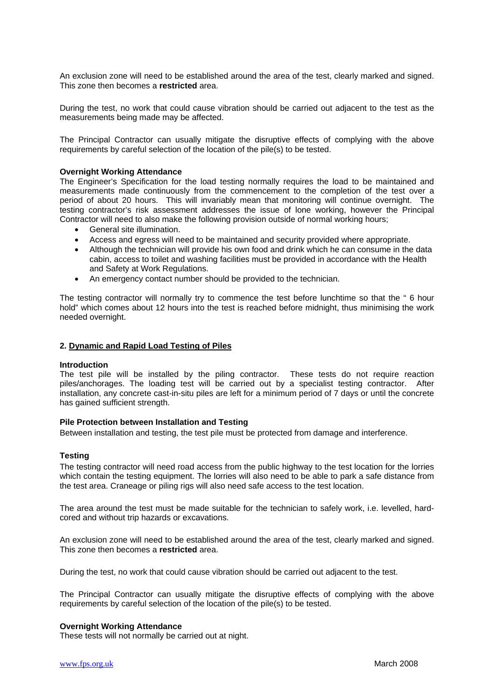An exclusion zone will need to be established around the area of the test, clearly marked and signed. This zone then becomes a **restricted** area.

During the test, no work that could cause vibration should be carried out adjacent to the test as the measurements being made may be affected.

The Principal Contractor can usually mitigate the disruptive effects of complying with the above requirements by careful selection of the location of the pile(s) to be tested.

#### **Overnight Working Attendance**

The Engineer's Specification for the load testing normally requires the load to be maintained and measurements made continuously from the commencement to the completion of the test over a period of about 20 hours. This will invariably mean that monitoring will continue overnight. The testing contractor's risk assessment addresses the issue of lone working, however the Principal Contractor will need to also make the following provision outside of normal working hours;

- General site illumination.
- Access and egress will need to be maintained and security provided where appropriate.
- Although the technician will provide his own food and drink which he can consume in the data cabin, access to toilet and washing facilities must be provided in accordance with the Health and Safety at Work Regulations.
- An emergency contact number should be provided to the technician.

The testing contractor will normally try to commence the test before lunchtime so that the " 6 hour hold" which comes about 12 hours into the test is reached before midnight, thus minimising the work needed overnight.

#### **2. Dynamic and Rapid Load Testing of Piles**

#### **Introduction**

The test pile will be installed by the piling contractor. These tests do not require reaction piles/anchorages. The loading test will be carried out by a specialist testing contractor. After installation, any concrete cast-in-situ piles are left for a minimum period of 7 days or until the concrete has gained sufficient strength.

#### **Pile Protection between Installation and Testing**

Between installation and testing, the test pile must be protected from damage and interference.

#### **Testing**

The testing contractor will need road access from the public highway to the test location for the lorries which contain the testing equipment. The lorries will also need to be able to park a safe distance from the test area. Craneage or piling rigs will also need safe access to the test location.

The area around the test must be made suitable for the technician to safely work, i.e. levelled, hardcored and without trip hazards or excavations.

An exclusion zone will need to be established around the area of the test, clearly marked and signed. This zone then becomes a **restricted** area.

During the test, no work that could cause vibration should be carried out adjacent to the test.

The Principal Contractor can usually mitigate the disruptive effects of complying with the above requirements by careful selection of the location of the pile(s) to be tested.

#### **Overnight Working Attendance**

These tests will not normally be carried out at night.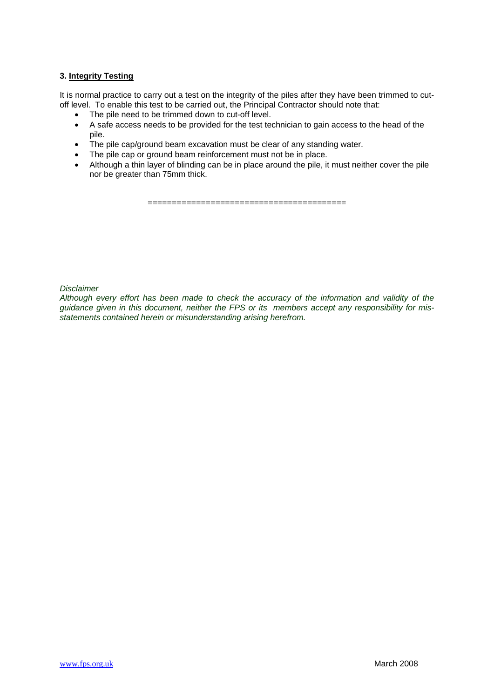### **3. Integrity Testing**

It is normal practice to carry out a test on the integrity of the piles after they have been trimmed to cutoff level. To enable this test to be carried out, the Principal Contractor should note that:

- 
- The pile need to be trimmed down to cut-off level.<br>• A safe access needs to be provided for the test tea • A safe access needs to be provided for the test technician to gain access to the head of the pile.
- The pile cap/ground beam excavation must be clear of any standing water.
- The pile cap or ground beam reinforcement must not be in place.
- Although a thin layer of blinding can be in place around the pile, it must neither cover the pile nor be greater than 75mm thick.

=========================================

### *Disclaimer*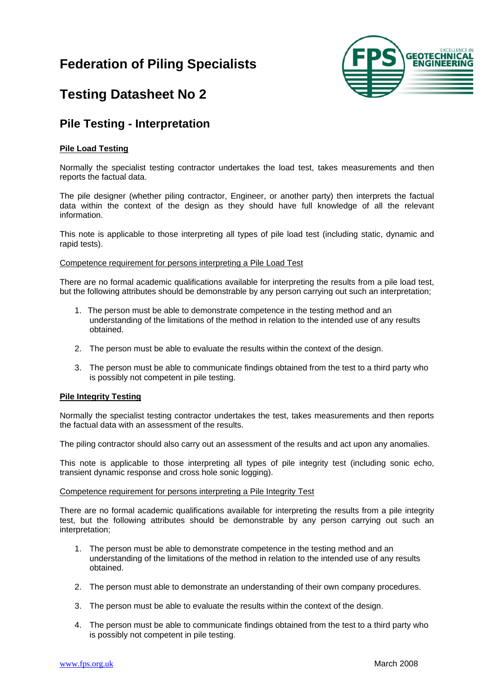

## **Testing Datasheet No 2**

### **Pile Testing - Interpretation**

### **Pile Load Testing**

Normally the specialist testing contractor undertakes the load test, takes measurements and then reports the factual data.

The pile designer (whether piling contractor, Engineer, or another party) then interprets the factual data within the context of the design as they should have full knowledge of all the relevant information.

This note is applicable to those interpreting all types of pile load test (including static, dynamic and rapid tests).

#### Competence requirement for persons interpreting a Pile Load Test

There are no formal academic qualifications available for interpreting the results from a pile load test, but the following attributes should be demonstrable by any person carrying out such an interpretation;

- 1. The person must be able to demonstrate competence in the testing method and an understanding of the limitations of the method in relation to the intended use of any results obtained.
- 2. The person must be able to evaluate the results within the context of the design.
- 3. The person must be able to communicate findings obtained from the test to a third party who is possibly not competent in pile testing.

### **Pile Integrity Testing**

Normally the specialist testing contractor undertakes the test, takes measurements and then reports the factual data with an assessment of the results.

The piling contractor should also carry out an assessment of the results and act upon any anomalies.

This note is applicable to those interpreting all types of pile integrity test (including sonic echo, transient dynamic response and cross hole sonic logging).

#### Competence requirement for persons interpreting a Pile Integrity Test

There are no formal academic qualifications available for interpreting the results from a pile integrity test, but the following attributes should be demonstrable by any person carrying out such an interpretation;

- 1. The person must be able to demonstrate competence in the testing method and an understanding of the limitations of the method in relation to the intended use of any results obtained.
- 2. The person must able to demonstrate an understanding of their own company procedures.
- 3. The person must be able to evaluate the results within the context of the design.
- 4. The person must be able to communicate findings obtained from the test to a third party who is possibly not competent in pile testing.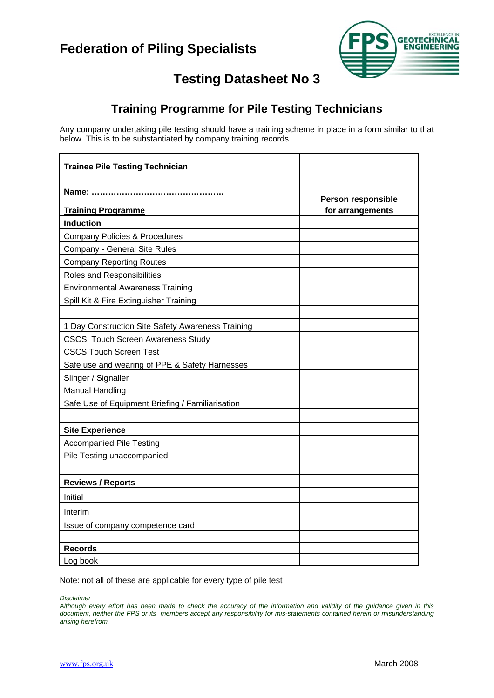

# **Testing Datasheet No 3**

## **Training Programme for Pile Testing Technicians**

Any company undertaking pile testing should have a training scheme in place in a form similar to that below. This is to be substantiated by company training records.

| <b>Trainee Pile Testing Technician</b>            |                    |
|---------------------------------------------------|--------------------|
|                                                   | Person responsible |
| <b>Training Programme</b><br><b>Induction</b>     | for arrangements   |
| <b>Company Policies &amp; Procedures</b>          |                    |
| Company - General Site Rules                      |                    |
| <b>Company Reporting Routes</b>                   |                    |
| Roles and Responsibilities                        |                    |
| <b>Environmental Awareness Training</b>           |                    |
| Spill Kit & Fire Extinguisher Training            |                    |
|                                                   |                    |
| 1 Day Construction Site Safety Awareness Training |                    |
| <b>CSCS Touch Screen Awareness Study</b>          |                    |
| <b>CSCS Touch Screen Test</b>                     |                    |
| Safe use and wearing of PPE & Safety Harnesses    |                    |
| Slinger / Signaller                               |                    |
| <b>Manual Handling</b>                            |                    |
| Safe Use of Equipment Briefing / Familiarisation  |                    |
|                                                   |                    |
| <b>Site Experience</b>                            |                    |
| <b>Accompanied Pile Testing</b>                   |                    |
| Pile Testing unaccompanied                        |                    |
|                                                   |                    |
| <b>Reviews / Reports</b>                          |                    |
| Initial                                           |                    |
| Interim                                           |                    |
| Issue of company competence card                  |                    |
|                                                   |                    |
| <b>Records</b>                                    |                    |
| Log book                                          |                    |

Note: not all of these are applicable for every type of pile test

*Disclaimer*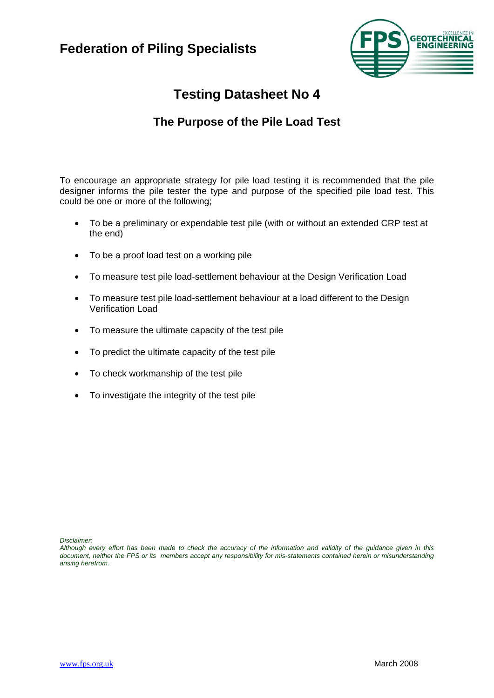

## **The Purpose of the Pile Load Test**

To encourage an appropriate strategy for pile load testing it is recommended that the pile designer informs the pile tester the type and purpose of the specified pile load test. This could be one or more of the following;

- To be a preliminary or expendable test pile (with or without an extended CRP test at the end)
- To be a proof load test on a working pile
- To measure test pile load-settlement behaviour at the Design Verification Load
- To measure test pile load-settlement behaviour at a load different to the Design Verification Load
- To measure the ultimate capacity of the test pile
- To predict the ultimate capacity of the test pile
- To check workmanship of the test pile
- To investigate the integrity of the test pile

*Disclaimer:*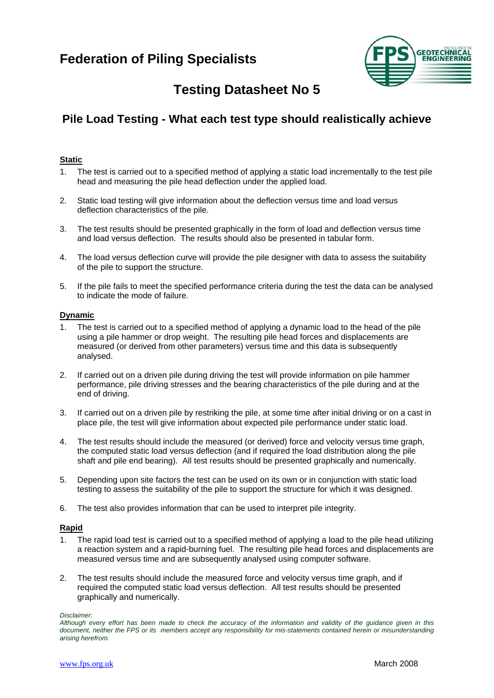

# **Testing Datasheet No 5**

## **Pile Load Testing - What each test type should realistically achieve**

### **Static**

- 1. The test is carried out to a specified method of applying a static load incrementally to the test pile head and measuring the pile head deflection under the applied load.
- 2. Static load testing will give information about the deflection versus time and load versus deflection characteristics of the pile.
- 3. The test results should be presented graphically in the form of load and deflection versus time and load versus deflection. The results should also be presented in tabular form.
- 4. The load versus deflection curve will provide the pile designer with data to assess the suitability of the pile to support the structure.
- 5. If the pile fails to meet the specified performance criteria during the test the data can be analysed to indicate the mode of failure.

#### **Dynamic**

- 1. The test is carried out to a specified method of applying a dynamic load to the head of the pile using a pile hammer or drop weight. The resulting pile head forces and displacements are measured (or derived from other parameters) versus time and this data is subsequently analysed.
- 2. If carried out on a driven pile during driving the test will provide information on pile hammer performance, pile driving stresses and the bearing characteristics of the pile during and at the end of driving.
- 3. If carried out on a driven pile by restriking the pile, at some time after initial driving or on a cast in place pile, the test will give information about expected pile performance under static load.
- 4. The test results should include the measured (or derived) force and velocity versus time graph, the computed static load versus deflection (and if required the load distribution along the pile shaft and pile end bearing). All test results should be presented graphically and numerically.
- 5. Depending upon site factors the test can be used on its own or in conjunction with static load testing to assess the suitability of the pile to support the structure for which it was designed.
- 6. The test also provides information that can be used to interpret pile integrity.

#### **Rapid**

- 1. The rapid load test is carried out to a specified method of applying a load to the pile head utilizing a reaction system and a rapid-burning fuel. The resulting pile head forces and displacements are measured versus time and are subsequently analysed using computer software.
- 2. The test results should include the measured force and velocity versus time graph, and if required the computed static load versus deflection. All test results should be presented graphically and numerically.

*Although every effort has been made to check the accuracy of the information and validity of the guidance given in this document, neither the FPS or its members accept any responsibility for mis-statements contained herein or misunderstanding arising herefrom.*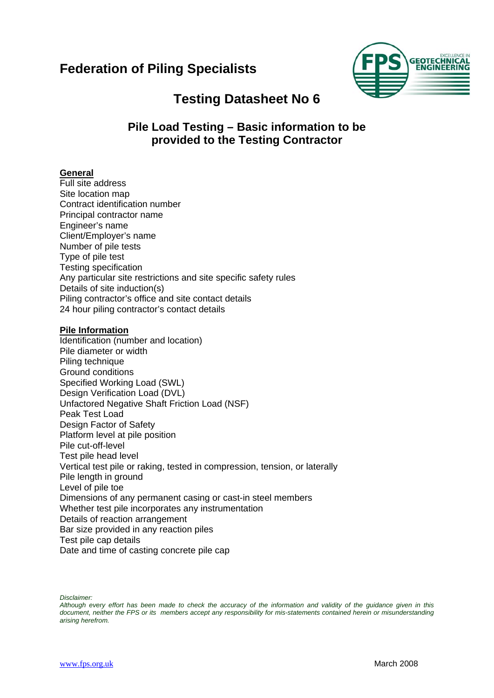

## **Testing Datasheet No 6**

### **Pile Load Testing – Basic information to be provided to the Testing Contractor**

### **General**

Full site address Site location map Contract identification number Principal contractor name Engineer's name Client/Employer's name Number of pile tests Type of pile test Testing specification Any particular site restrictions and site specific safety rules Details of site induction(s) Piling contractor's office and site contact details 24 hour piling contractor's contact details

### **Pile Information**

Identification (number and location) Pile diameter or width Piling technique Ground conditions Specified Working Load (SWL) Design Verification Load (DVL) Unfactored Negative Shaft Friction Load (NSF) Peak Test Load Design Factor of Safety Platform level at pile position Pile cut-off-level Test pile head level Vertical test pile or raking, tested in compression, tension, or laterally Pile length in ground Level of pile toe Dimensions of any permanent casing or cast-in steel members Whether test pile incorporates any instrumentation Details of reaction arrangement Bar size provided in any reaction piles Test pile cap details Date and time of casting concrete pile cap

*Disclaimer:*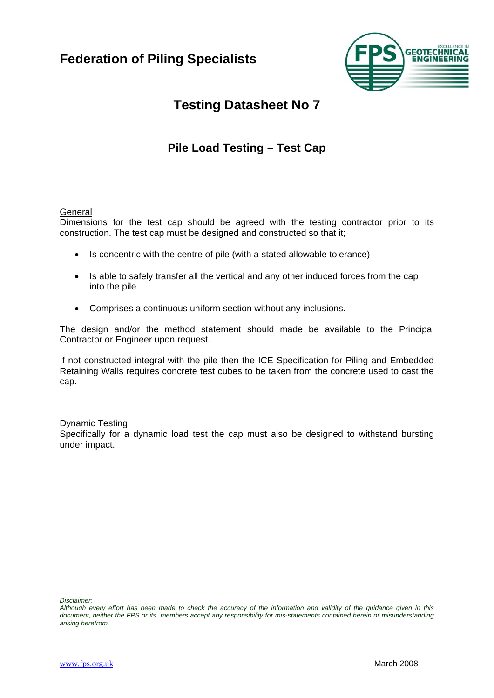

# **Testing Datasheet No 7**

## **Pile Load Testing – Test Cap**

### **General**

Dimensions for the test cap should be agreed with the testing contractor prior to its construction. The test cap must be designed and constructed so that it;

- Is concentric with the centre of pile (with a stated allowable tolerance)
- Is able to safely transfer all the vertical and any other induced forces from the cap into the pile
- Comprises a continuous uniform section without any inclusions.

The design and/or the method statement should made be available to the Principal Contractor or Engineer upon request.

If not constructed integral with the pile then the ICE Specification for Piling and Embedded Retaining Walls requires concrete test cubes to be taken from the concrete used to cast the cap.

### Dynamic Testing

Specifically for a dynamic load test the cap must also be designed to withstand bursting under impact.

*Although every effort has been made to check the accuracy of the information and validity of the guidance given in this document, neither the FPS or its members accept any responsibility for mis-statements contained herein or misunderstanding arising herefrom.*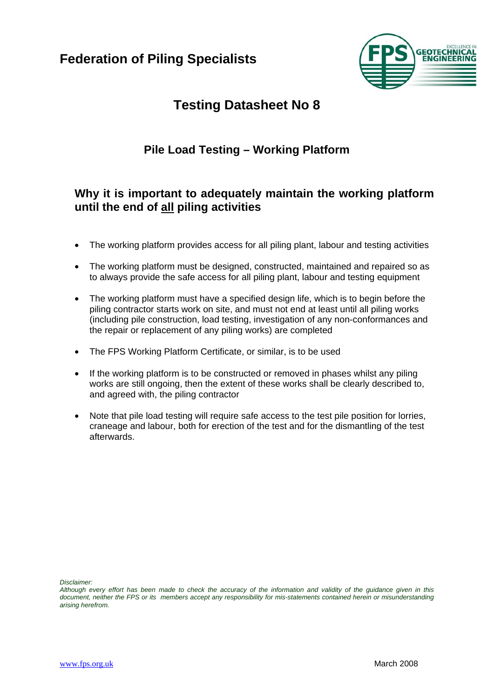

## **Testing Datasheet No 8**

## **Pile Load Testing – Working Platform**

### **Why it is important to adequately maintain the working platform until the end of all piling activities**

- The working platform provides access for all piling plant, labour and testing activities
- The working platform must be designed, constructed, maintained and repaired so as to always provide the safe access for all piling plant, labour and testing equipment
- The working platform must have a specified design life, which is to begin before the piling contractor starts work on site, and must not end at least until all piling works (including pile construction, load testing, investigation of any non-conformances and the repair or replacement of any piling works) are completed
- The FPS Working Platform Certificate, or similar, is to be used
- If the working platform is to be constructed or removed in phases whilst any piling works are still ongoing, then the extent of these works shall be clearly described to, and agreed with, the piling contractor
- Note that pile load testing will require safe access to the test pile position for lorries, craneage and labour, both for erection of the test and for the dismantling of the test afterwards.

*Although every effort has been made to check the accuracy of the information and validity of the guidance given in this document, neither the FPS or its members accept any responsibility for mis-statements contained herein or misunderstanding arising herefrom.*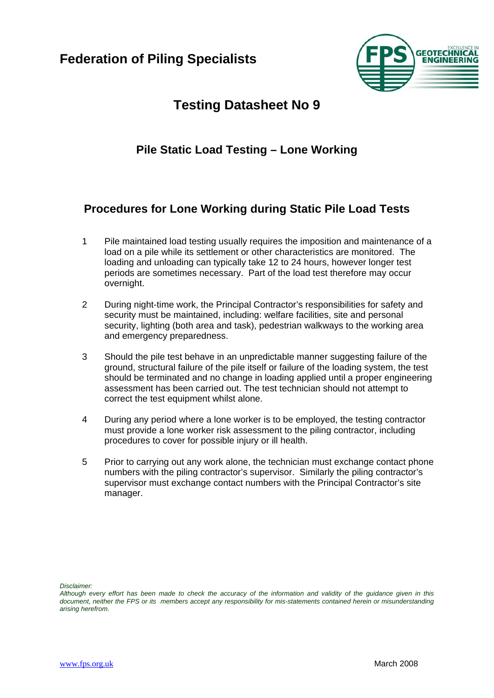

## **Pile Static Load Testing – Lone Working**

## **Procedures for Lone Working during Static Pile Load Tests**

- 1 Pile maintained load testing usually requires the imposition and maintenance of a load on a pile while its settlement or other characteristics are monitored. The loading and unloading can typically take 12 to 24 hours, however longer test periods are sometimes necessary. Part of the load test therefore may occur overnight.
- 2 During night-time work, the Principal Contractor's responsibilities for safety and security must be maintained, including: welfare facilities, site and personal security, lighting (both area and task), pedestrian walkways to the working area and emergency preparedness.
- 3 Should the pile test behave in an unpredictable manner suggesting failure of the ground, structural failure of the pile itself or failure of the loading system, the test should be terminated and no change in loading applied until a proper engineering assessment has been carried out. The test technician should not attempt to correct the test equipment whilst alone.
- 4 During any period where a lone worker is to be employed, the testing contractor must provide a lone worker risk assessment to the piling contractor, including procedures to cover for possible injury or ill health.
- 5 Prior to carrying out any work alone, the technician must exchange contact phone numbers with the piling contractor's supervisor. Similarly the piling contractor's supervisor must exchange contact numbers with the Principal Contractor's site manager.

*Although every effort has been made to check the accuracy of the information and validity of the guidance given in this document, neither the FPS or its members accept any responsibility for mis-statements contained herein or misunderstanding arising herefrom.*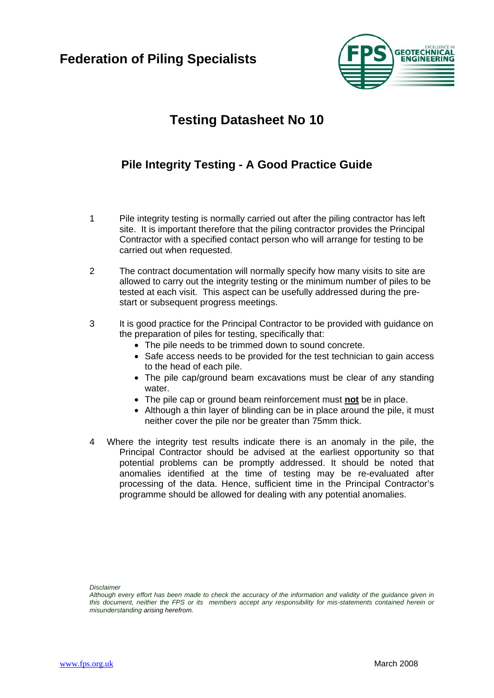

## **Pile Integrity Testing - A Good Practice Guide**

- 1 Pile integrity testing is normally carried out after the piling contractor has left site. It is important therefore that the piling contractor provides the Principal Contractor with a specified contact person who will arrange for testing to be carried out when requested.
- 2 The contract documentation will normally specify how many visits to site are allowed to carry out the integrity testing or the minimum number of piles to be tested at each visit. This aspect can be usefully addressed during the prestart or subsequent progress meetings.
- 3 It is good practice for the Principal Contractor to be provided with guidance on the preparation of piles for testing, specifically that:
	- The pile needs to be trimmed down to sound concrete.
	- Safe access needs to be provided for the test technician to gain access to the head of each pile.
	- The pile cap/ground beam excavations must be clear of any standing water.
	- The pile cap or ground beam reinforcement must **not** be in place.
	- Although a thin layer of blinding can be in place around the pile, it must neither cover the pile nor be greater than 75mm thick.
- 4 Where the integrity test results indicate there is an anomaly in the pile, the Principal Contractor should be advised at the earliest opportunity so that potential problems can be promptly addressed. It should be noted that anomalies identified at the time of testing may be re-evaluated after processing of the data. Hence, sufficient time in the Principal Contractor's programme should be allowed for dealing with any potential anomalies.

*Although every effort has been made to check the accuracy of the information and validity of the guidance given in this document, neither the FPS or its members accept any responsibility for mis-statements contained herein or misunderstanding arising herefrom.*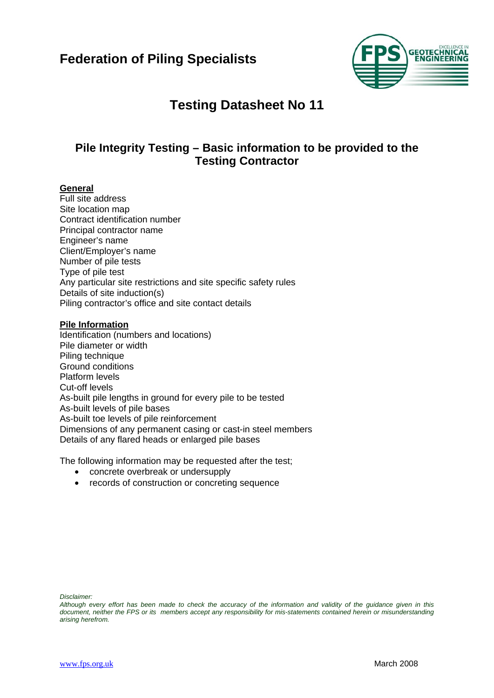

## **Pile Integrity Testing – Basic information to be provided to the Testing Contractor**

### **General**

Full site address Site location map Contract identification number Principal contractor name Engineer's name Client/Employer's name Number of pile tests Type of pile test Any particular site restrictions and site specific safety rules Details of site induction(s) Piling contractor's office and site contact details

### **Pile Information**

Identification (numbers and locations) Pile diameter or width Piling technique Ground conditions Platform levels Cut-off levels As-built pile lengths in ground for every pile to be tested As-built levels of pile bases As-built toe levels of pile reinforcement Dimensions of any permanent casing or cast-in steel members Details of any flared heads or enlarged pile bases

The following information may be requested after the test;

- concrete overbreak or undersupply
- records of construction or concreting sequence

*Although every effort has been made to check the accuracy of the information and validity of the guidance given in this document, neither the FPS or its members accept any responsibility for mis-statements contained herein or misunderstanding arising herefrom.*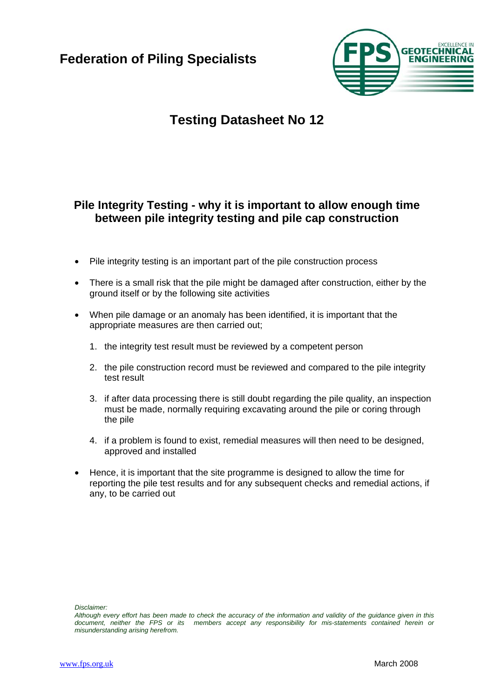

## **Pile Integrity Testing - why it is important to allow enough time between pile integrity testing and pile cap construction**

- Pile integrity testing is an important part of the pile construction process
- There is a small risk that the pile might be damaged after construction, either by the ground itself or by the following site activities
- When pile damage or an anomaly has been identified, it is important that the appropriate measures are then carried out;
	- 1. the integrity test result must be reviewed by a competent person
	- 2. the pile construction record must be reviewed and compared to the pile integrity test result
	- 3. if after data processing there is still doubt regarding the pile quality, an inspection must be made, normally requiring excavating around the pile or coring through the pile
	- 4. if a problem is found to exist, remedial measures will then need to be designed, approved and installed
- Hence, it is important that the site programme is designed to allow the time for reporting the pile test results and for any subsequent checks and remedial actions, if any, to be carried out

*Although every effort has been made to check the accuracy of the information and validity of the guidance given in this document, neither the FPS or its members accept any responsibility for mis-statements contained herein or misunderstanding arising herefrom.*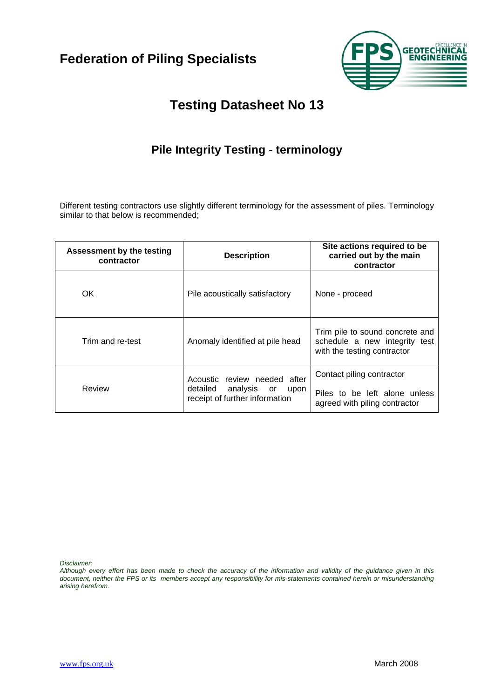

## **Pile Integrity Testing - terminology**

Different testing contractors use slightly different terminology for the assessment of piles. Terminology similar to that below is recommended;

| Assessment by the testing<br>contractor | <b>Description</b>                                                                                | Site actions required to be<br>carried out by the main<br>contractor                            |  |
|-----------------------------------------|---------------------------------------------------------------------------------------------------|-------------------------------------------------------------------------------------------------|--|
| OK.                                     | Pile acoustically satisfactory                                                                    | None - proceed                                                                                  |  |
| Trim and re-test                        | Anomaly identified at pile head                                                                   | Trim pile to sound concrete and<br>schedule a new integrity test<br>with the testing contractor |  |
| Review                                  | Acoustic review needed after<br>analysis or<br>detailed<br>upon<br>receipt of further information | Contact piling contractor<br>Piles to be left alone unless<br>agreed with piling contractor     |  |

*Disclaimer:*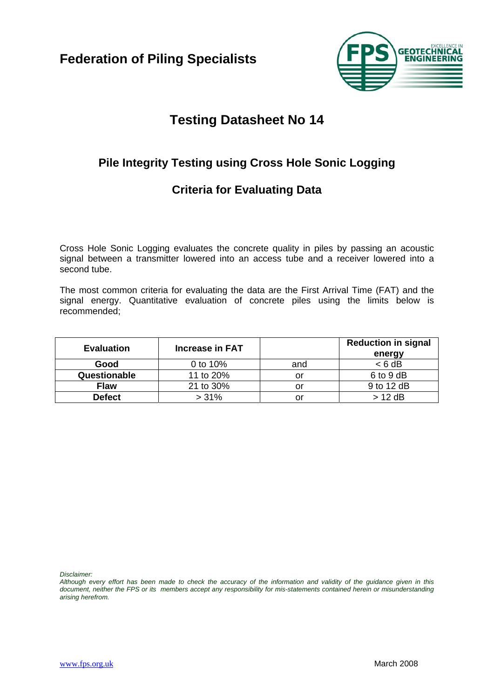

## **Pile Integrity Testing using Cross Hole Sonic Logging**

## **Criteria for Evaluating Data**

Cross Hole Sonic Logging evaluates the concrete quality in piles by passing an acoustic signal between a transmitter lowered into an access tube and a receiver lowered into a second tube.

The most common criteria for evaluating the data are the First Arrival Time (FAT) and the signal energy. Quantitative evaluation of concrete piles using the limits below is recommended;

| <b>Evaluation</b> | Increase in FAT |     | <b>Reduction in signal</b><br>energy |
|-------------------|-----------------|-----|--------------------------------------|
| Good              | 0 to 10%        | and | $< 6$ dB                             |
| Questionable      | 11 to 20%       | or  | 6 to 9 dB                            |
| <b>Flaw</b>       | 21 to 30%       | or  | 9 to 12 dB                           |
| <b>Defect</b>     | >31%            | or  | $> 12$ dB                            |

*Disclaimer:*